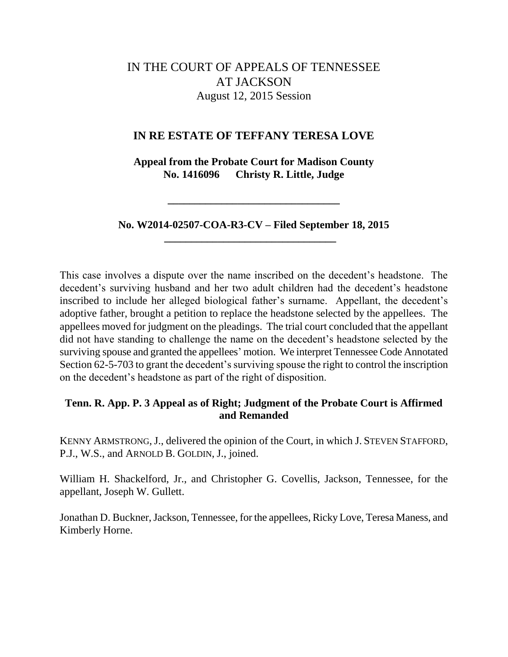# IN THE COURT OF APPEALS OF TENNESSEE AT JACKSON August 12, 2015 Session

# **IN RE ESTATE OF TEFFANY TERESA LOVE**

**Appeal from the Probate Court for Madison County No. 1416096 Christy R. Little, Judge**

**No. W2014-02507-COA-R3-CV – Filed September 18, 2015 \_\_\_\_\_\_\_\_\_\_\_\_\_\_\_\_\_\_\_\_\_\_\_\_\_\_\_\_\_\_\_\_**

**\_\_\_\_\_\_\_\_\_\_\_\_\_\_\_\_\_\_\_\_\_\_\_\_\_\_\_\_\_\_\_\_**

This case involves a dispute over the name inscribed on the decedent"s headstone. The decedent's surviving husband and her two adult children had the decedent's headstone inscribed to include her alleged biological father's surname. Appellant, the decedent's adoptive father, brought a petition to replace the headstone selected by the appellees. The appellees moved for judgment on the pleadings. The trial court concluded that the appellant did not have standing to challenge the name on the decedent"s headstone selected by the surviving spouse and granted the appellees' motion. We interpret Tennessee Code Annotated Section 62-5-703 to grant the decedent's surviving spouse the right to control the inscription on the decedent"s headstone as part of the right of disposition.

# **Tenn. R. App. P. 3 Appeal as of Right; Judgment of the Probate Court is Affirmed and Remanded**

KENNY ARMSTRONG,J., delivered the opinion of the Court, in which J. STEVEN STAFFORD, P.J., W.S., and ARNOLD B. GOLDIN, J., joined.

William H. Shackelford, Jr., and Christopher G. Covellis, Jackson, Tennessee, for the appellant, Joseph W. Gullett.

Jonathan D. Buckner, Jackson, Tennessee, for the appellees, Ricky Love, Teresa Maness, and Kimberly Horne.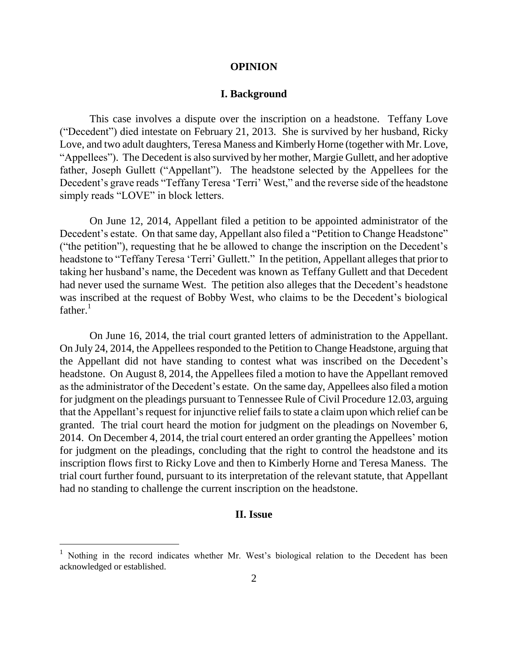#### **OPINION**

#### **I. Background**

This case involves a dispute over the inscription on a headstone. Teffany Love ("Decedent") died intestate on February 21, 2013. She is survived by her husband, Ricky Love, and two adult daughters, Teresa Maness and Kimberly Horne (together with Mr. Love, "Appellees"). The Decedent is also survived by her mother, Margie Gullett, and her adoptive father, Joseph Gullett ("Appellant"). The headstone selected by the Appellees for the Decedent's grave reads "Teffany Teresa 'Terri' West," and the reverse side of the headstone simply reads "LOVE" in block letters.

On June 12, 2014, Appellant filed a petition to be appointed administrator of the Decedent's estate. On that same day, Appellant also filed a "Petition to Change Headstone" ("the petition"), requesting that he be allowed to change the inscription on the Decedent"s headstone to "Teffany Teresa 'Terri' Gullett." In the petition, Appellant alleges that prior to taking her husband"s name, the Decedent was known as Teffany Gullett and that Decedent had never used the surname West. The petition also alleges that the Decedent's headstone was inscribed at the request of Bobby West, who claims to be the Decedent"s biological  $father.<sup>1</sup>$ 

On June 16, 2014, the trial court granted letters of administration to the Appellant. On July 24, 2014, the Appellees responded to the Petition to Change Headstone, arguing that the Appellant did not have standing to contest what was inscribed on the Decedent"s headstone. On August 8, 2014, the Appellees filed a motion to have the Appellant removed as the administrator of the Decedent's estate. On the same day, Appellees also filed a motion for judgment on the pleadings pursuant to Tennessee Rule of Civil Procedure 12.03, arguing that the Appellant"s request for injunctive relief fails to state a claim upon which relief can be granted. The trial court heard the motion for judgment on the pleadings on November 6, 2014. On December 4, 2014, the trial court entered an order granting the Appellees" motion for judgment on the pleadings, concluding that the right to control the headstone and its inscription flows first to Ricky Love and then to Kimberly Horne and Teresa Maness. The trial court further found, pursuant to its interpretation of the relevant statute, that Appellant had no standing to challenge the current inscription on the headstone.

## **II. Issue**

 $\overline{a}$ 

<sup>&</sup>lt;sup>1</sup> Nothing in the record indicates whether Mr. West's biological relation to the Decedent has been acknowledged or established.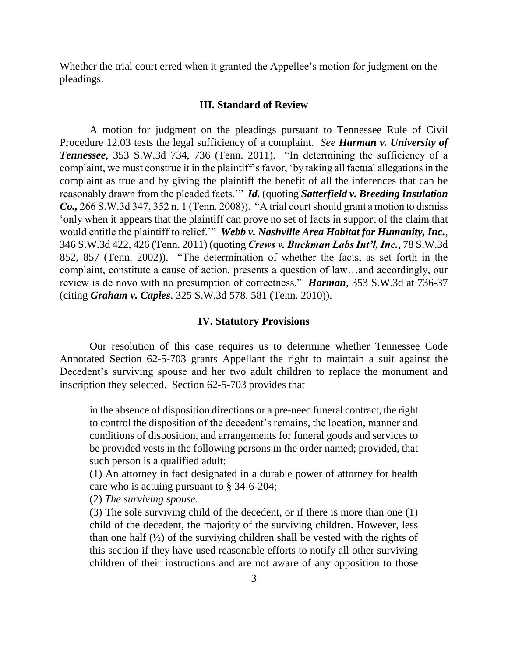Whether the trial court erred when it granted the Appellee's motion for judgment on the pleadings.

#### **III. Standard of Review**

A motion for judgment on the pleadings pursuant to Tennessee Rule of Civil Procedure 12.03 tests the legal sufficiency of a complaint. *See Harman v. University of Tennessee*, 353 S.W.3d 734, 736 (Tenn. 2011). "In determining the sufficiency of a complaint, we must construe it in the plaintiff"s favor, "by taking all factual allegations in the complaint as true and by giving the plaintiff the benefit of all the inferences that can be reasonably drawn from the pleaded facts."" *Id.* (quoting *Satterfield v. Breeding Insulation Co.,* 266 S.W.3d 347, 352 n. 1 (Tenn. 2008)). "A trial court should grant a motion to dismiss "only when it appears that the plaintiff can prove no set of facts in support of the claim that would entitle the plaintiff to relief."" *Webb v. Nashville Area Habitat for Humanity, Inc.*, 346 S.W.3d 422, 426 (Tenn. 2011) (quoting *Crews v. Buckman Labs Int'l, Inc.*, 78 S.W.3d 852, 857 (Tenn. 2002)). "The determination of whether the facts, as set forth in the complaint, constitute a cause of action, presents a question of law…and accordingly, our review is de novo with no presumption of correctness." *Harman*, 353 S.W.3d at 736-37 (citing *Graham v. Caples*, 325 S.W.3d 578, 581 (Tenn. 2010)).

#### **IV. Statutory Provisions**

Our resolution of this case requires us to determine whether Tennessee Code Annotated Section 62-5-703 grants Appellant the right to maintain a suit against the Decedent's surviving spouse and her two adult children to replace the monument and inscription they selected. Section 62-5-703 provides that

in the absence of disposition directions or a pre-need funeral contract, the right to control the disposition of the decedent"s remains, the location, manner and conditions of disposition, and arrangements for funeral goods and services to be provided vests in the following persons in the order named; provided, that such person is a qualified adult:

(1) An attorney in fact designated in a durable power of attorney for health care who is actuing pursuant to § 34-6-204;

(2) *The surviving spouse.*

(3) The sole surviving child of the decedent, or if there is more than one (1) child of the decedent, the majority of the surviving children. However, less than one half  $(\frac{1}{2})$  of the surviving children shall be vested with the rights of this section if they have used reasonable efforts to notify all other surviving children of their instructions and are not aware of any opposition to those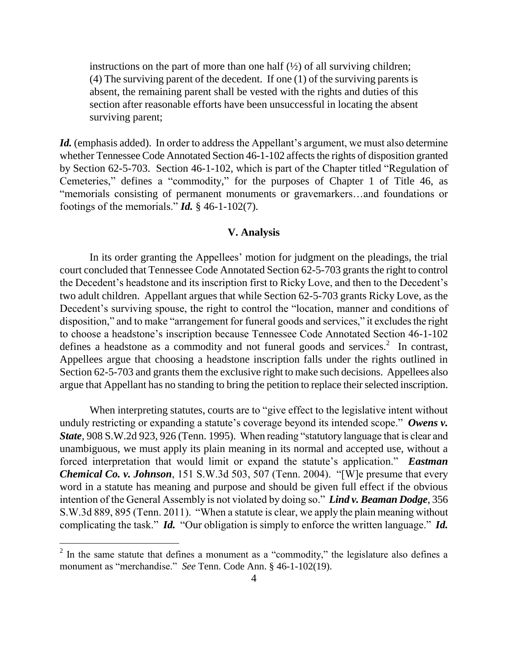instructions on the part of more than one half  $(\frac{1}{2})$  of all surviving children; (4) The surviving parent of the decedent. If one (1) of the surviving parents is absent, the remaining parent shall be vested with the rights and duties of this section after reasonable efforts have been unsuccessful in locating the absent surviving parent;

Id. (emphasis added). In order to address the Appellant's argument, we must also determine whether Tennessee Code Annotated Section 46-1-102 affects the rights of disposition granted by Section 62-5-703. Section 46-1-102, which is part of the Chapter titled "Regulation of Cemeteries," defines a "commodity," for the purposes of Chapter 1 of Title 46, as "memorials consisting of permanent monuments or gravemarkers…and foundations or footings of the memorials."  $\mathbf{Id.} \S$  46-1-102(7).

### **V. Analysis**

In its order granting the Appellees" motion for judgment on the pleadings, the trial court concluded that Tennessee Code Annotated Section 62-5-703 grants the right to control the Decedent"s headstone and its inscription first to Ricky Love, and then to the Decedent"s two adult children. Appellant argues that while Section 62-5-703 grants Ricky Love, as the Decedent's surviving spouse, the right to control the "location, manner and conditions of disposition," and to make "arrangement for funeral goods and services," it excludes the right to choose a headstone"s inscription because Tennessee Code Annotated Section 46-1-102 defines a headstone as a commodity and not funeral goods and services.<sup>2</sup> In contrast, Appellees argue that choosing a headstone inscription falls under the rights outlined in Section 62-5-703 and grants them the exclusive right to make such decisions. Appellees also argue that Appellant has no standing to bring the petition to replace their selected inscription.

When interpreting statutes, courts are to "give effect to the legislative intent without unduly restricting or expanding a statute's coverage beyond its intended scope." Owens v. *State*, 908 S.W.2d 923, 926 (Tenn. 1995). When reading "statutory language that is clear and unambiguous, we must apply its plain meaning in its normal and accepted use, without a forced interpretation that would limit or expand the statute's application." **Eastman** *Chemical Co. v. Johnson*, 151 S.W.3d 503, 507 (Tenn. 2004). "[W]e presume that every word in a statute has meaning and purpose and should be given full effect if the obvious intention of the General Assembly is not violated by doing so." *Lind v. Beaman Dodge*, 356 S.W.3d 889, 895 (Tenn. 2011). "When a statute is clear, we apply the plain meaning without complicating the task." *Id.* "Our obligation is simply to enforce the written language." *Id.*

 $2$  In the same statute that defines a monument as a "commodity," the legislature also defines a monument as "merchandise." *See* Tenn. Code Ann. § 46-1-102(19).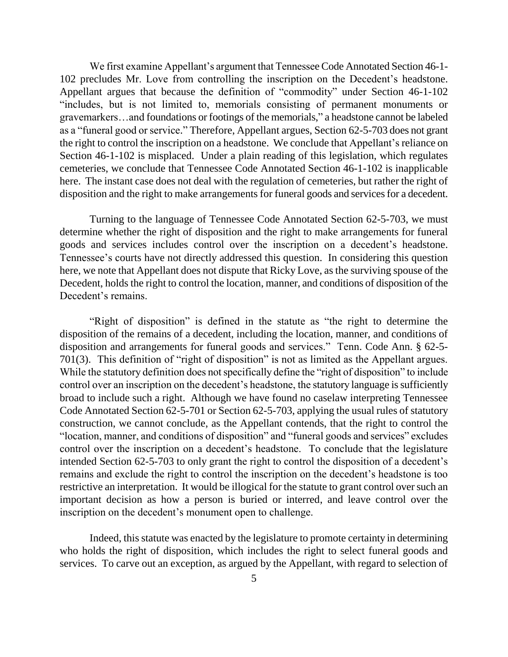We first examine Appellant's argument that Tennessee Code Annotated Section 46-1-102 precludes Mr. Love from controlling the inscription on the Decedent"s headstone. Appellant argues that because the definition of "commodity" under Section 46-1-102 "includes, but is not limited to, memorials consisting of permanent monuments or gravemarkers…and foundations or footings of the memorials," a headstone cannot be labeled as a "funeral good or service." Therefore, Appellant argues, Section 62-5-703 does not grant the right to control the inscription on a headstone. We conclude that Appellant's reliance on Section 46-1-102 is misplaced. Under a plain reading of this legislation, which regulates cemeteries, we conclude that Tennessee Code Annotated Section 46-1-102 is inapplicable here. The instant case does not deal with the regulation of cemeteries, but rather the right of disposition and the right to make arrangements for funeral goods and services for a decedent.

Turning to the language of Tennessee Code Annotated Section 62-5-703, we must determine whether the right of disposition and the right to make arrangements for funeral goods and services includes control over the inscription on a decedent"s headstone. Tennessee's courts have not directly addressed this question. In considering this question here, we note that Appellant does not dispute that Ricky Love, as the surviving spouse of the Decedent, holds the right to control the location, manner, and conditions of disposition of the Decedent's remains.

"Right of disposition" is defined in the statute as "the right to determine the disposition of the remains of a decedent, including the location, manner, and conditions of disposition and arrangements for funeral goods and services." Tenn. Code Ann. § 62-5- 701(3). This definition of "right of disposition" is not as limited as the Appellant argues. While the statutory definition does not specifically define the "right of disposition" to include control over an inscription on the decedent"s headstone, the statutory language is sufficiently broad to include such a right. Although we have found no caselaw interpreting Tennessee Code Annotated Section 62-5-701 or Section 62-5-703, applying the usual rules of statutory construction, we cannot conclude, as the Appellant contends, that the right to control the "location, manner, and conditions of disposition" and "funeral goods and services" excludes control over the inscription on a decedent"s headstone. To conclude that the legislature intended Section 62-5-703 to only grant the right to control the disposition of a decedent's remains and exclude the right to control the inscription on the decedent"s headstone is too restrictive an interpretation. It would be illogical for the statute to grant control over such an important decision as how a person is buried or interred, and leave control over the inscription on the decedent's monument open to challenge.

Indeed, this statute was enacted by the legislature to promote certainty in determining who holds the right of disposition, which includes the right to select funeral goods and services. To carve out an exception, as argued by the Appellant, with regard to selection of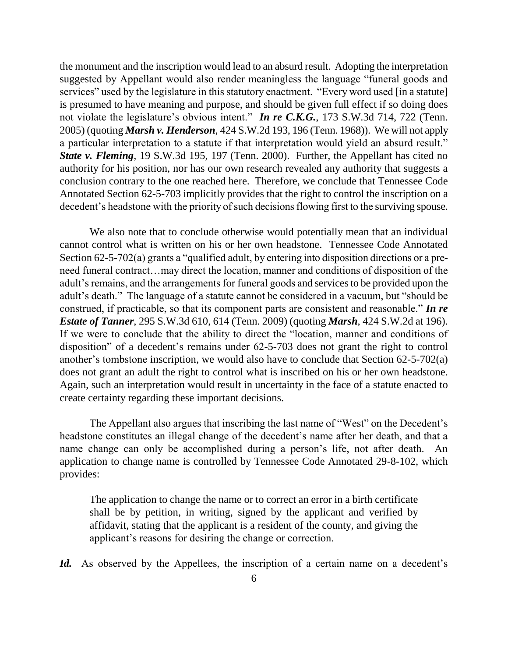the monument and the inscription would lead to an absurd result. Adopting the interpretation suggested by Appellant would also render meaningless the language "funeral goods and services" used by the legislature in this statutory enactment. "Every word used [in a statute] is presumed to have meaning and purpose, and should be given full effect if so doing does not violate the legislature's obvious intent." *In re C.K.G.*, 173 S.W.3d 714, 722 (Tenn. 2005) (quoting *Marsh v. Henderson*, 424 S.W.2d 193, 196 (Tenn. 1968)). We will not apply a particular interpretation to a statute if that interpretation would yield an absurd result." *State v. Fleming*, 19 S.W.3d 195, 197 (Tenn. 2000). Further, the Appellant has cited no authority for his position, nor has our own research revealed any authority that suggests a conclusion contrary to the one reached here. Therefore, we conclude that Tennessee Code Annotated Section 62-5-703 implicitly provides that the right to control the inscription on a decedent's headstone with the priority of such decisions flowing first to the surviving spouse.

We also note that to conclude otherwise would potentially mean that an individual cannot control what is written on his or her own headstone. Tennessee Code Annotated Section 62-5-702(a) grants a "qualified adult, by entering into disposition directions or a preneed funeral contract…may direct the location, manner and conditions of disposition of the adult"s remains, and the arrangements for funeral goods and services to be provided upon the adult"s death." The language of a statute cannot be considered in a vacuum, but "should be construed, if practicable, so that its component parts are consistent and reasonable." *In re Estate of Tanner*, 295 S.W.3d 610, 614 (Tenn. 2009) (quoting *Marsh*, 424 S.W.2d at 196). If we were to conclude that the ability to direct the "location, manner and conditions of disposition" of a decedent's remains under  $62-5-703$  does not grant the right to control another's tombstone inscription, we would also have to conclude that Section  $62-5-702(a)$ does not grant an adult the right to control what is inscribed on his or her own headstone. Again, such an interpretation would result in uncertainty in the face of a statute enacted to create certainty regarding these important decisions.

The Appellant also argues that inscribing the last name of "West" on the Decedent's headstone constitutes an illegal change of the decedent's name after her death, and that a name change can only be accomplished during a person"s life, not after death. An application to change name is controlled by Tennessee Code Annotated 29-8-102, which provides:

The application to change the name or to correct an error in a birth certificate shall be by petition, in writing, signed by the applicant and verified by affidavit, stating that the applicant is a resident of the county, and giving the applicant"s reasons for desiring the change or correction.

Id. As observed by the Appellees, the inscription of a certain name on a decedent's